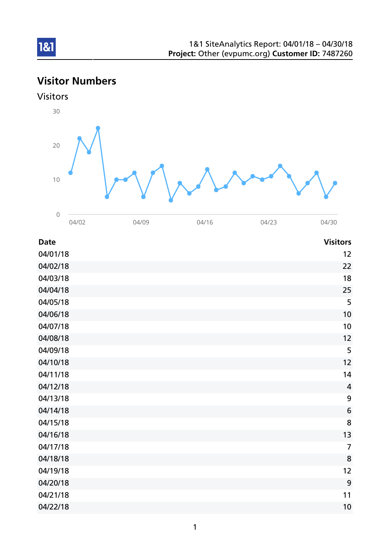# Visitor Numbers



| <b>Date</b> | <b>Visitors</b> |
|-------------|-----------------|
| 04/01/18    | 12              |
| 04/02/18    | 22              |
| 04/03/18    | 18              |
| 04/04/18    | 25              |
| 04/05/18    | 5               |
| 04/06/18    | 10              |
| 04/07/18    | 10              |
| 04/08/18    | 12              |
| 04/09/18    | 5               |
| 04/10/18    | 12              |
| 04/11/18    | 14              |
| 04/12/18    | $\overline{4}$  |
| 04/13/18    | 9               |
| 04/14/18    | $\bf 6$         |
| 04/15/18    | 8               |
| 04/16/18    | 13              |
| 04/17/18    | $\overline{7}$  |
| 04/18/18    | 8               |
| 04/19/18    | 12              |
| 04/20/18    | 9               |
| 04/21/18    | 11              |
| 04/22/18    | 10              |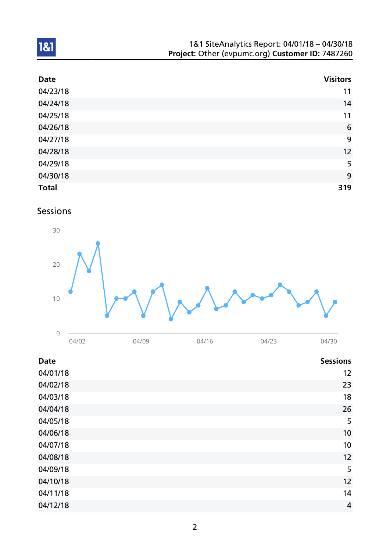| 1&1 SiteAnalytics Report: 04/01/18 - 04/30/18    |  |
|--------------------------------------------------|--|
| Project: Other (evpumc.org) Customer ID: 7487260 |  |

| <b>Date</b>  | <b>Visitors</b> |
|--------------|-----------------|
| 04/23/18     | 11              |
| 04/24/18     | 14              |
| 04/25/18     | 11              |
| 04/26/18     | $6\phantom{1}6$ |
| 04/27/18     | 9               |
| 04/28/18     | 12              |
| 04/29/18     | 5               |
| 04/30/18     | 9               |
| <b>Total</b> | 319             |

# Sessions



| <b>Date</b> | <b>Sessions</b> |
|-------------|-----------------|
| 04/01/18    | 12              |
| 04/02/18    | 23              |
| 04/03/18    | 18              |
| 04/04/18    | 26              |
| 04/05/18    | 5               |
| 04/06/18    | 10              |
| 04/07/18    | 10              |
| 04/08/18    | 12              |
| 04/09/18    | 5               |
| 04/10/18    | 12              |
| 04/11/18    | 14              |
| 04/12/18    | 4               |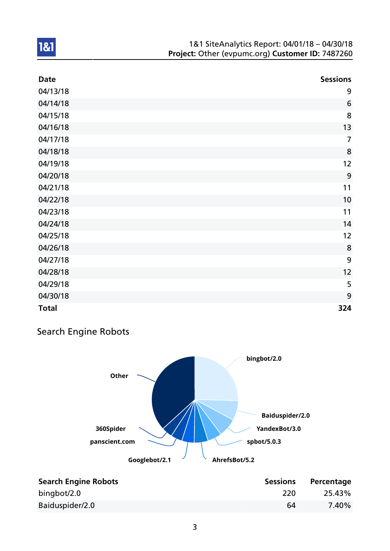| <b>Date</b>  | <b>Sessions</b> |
|--------------|-----------------|
| 04/13/18     | 9               |
| 04/14/18     | 6               |
| 04/15/18     | 8               |
| 04/16/18     | 13              |
| 04/17/18     | $\overline{7}$  |
| 04/18/18     | 8               |
| 04/19/18     | 12              |
| 04/20/18     | 9               |
| 04/21/18     | 11              |
| 04/22/18     | 10              |
| 04/23/18     | 11              |
| 04/24/18     | 14              |
| 04/25/18     | 12              |
| 04/26/18     | 8               |
| 04/27/18     | 9               |
| 04/28/18     | 12              |
| 04/29/18     | 5               |
| 04/30/18     | 9               |
| <b>Total</b> | 324             |

## Search Engine Robots



| <b>Search Engine Robots</b> | <b>Sessions</b> | Percentage |
|-----------------------------|-----------------|------------|
| bingbot/2.0                 | 220             | 25.43%     |
| Baiduspider/2.0             | 64              | 7.40%      |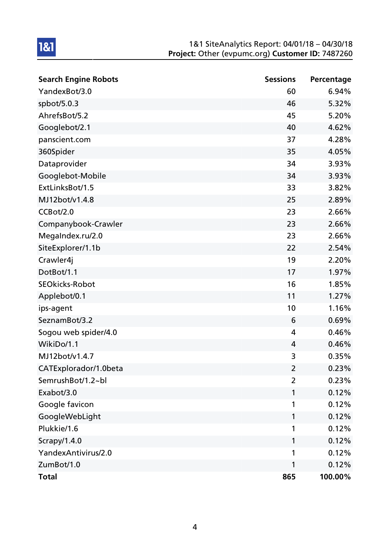| <b>Search Engine Robots</b> | <b>Sessions</b> | Percentage |
|-----------------------------|-----------------|------------|
| YandexBot/3.0               | 60              | 6.94%      |
| spbot/5.0.3                 | 46              | 5.32%      |
| AhrefsBot/5.2               | 45              | 5.20%      |
| Googlebot/2.1               | 40              | 4.62%      |
| panscient.com               | 37              | 4.28%      |
| 360Spider                   | 35              | 4.05%      |
| Dataprovider                | 34              | 3.93%      |
| Googlebot-Mobile            | 34              | 3.93%      |
| ExtLinksBot/1.5             | 33              | 3.82%      |
| MJ12bot/v1.4.8              | 25              | 2.89%      |
| CCBot/2.0                   | 23              | 2.66%      |
| Companybook-Crawler         | 23              | 2.66%      |
| MegaIndex.ru/2.0            | 23              | 2.66%      |
| SiteExplorer/1.1b           | 22              | 2.54%      |
| Crawler4j                   | 19              | 2.20%      |
| DotBot/1.1                  | 17              | 1.97%      |
| <b>SEOkicks-Robot</b>       | 16              | 1.85%      |
| Applebot/0.1                | 11              | 1.27%      |
| ips-agent                   | 10              | 1.16%      |
| SeznamBot/3.2               | 6               | 0.69%      |
| Sogou web spider/4.0        | 4               | 0.46%      |
| WikiDo/1.1                  | 4               | 0.46%      |
| MJ12bot/v1.4.7              | 3               | 0.35%      |
| CATExplorador/1.0beta       | $\overline{2}$  | 0.23%      |
| SemrushBot/1.2~bl           | $\overline{2}$  | 0.23%      |
| Exabot/3.0                  | 1               | 0.12%      |
| Google favicon              | 1               | 0.12%      |
| GoogleWebLight              | 1               | 0.12%      |
| Plukkie/1.6                 | 1               | 0.12%      |
| Scrapy/1.4.0                | 1               | 0.12%      |
| YandexAntivirus/2.0         | 1               | 0.12%      |
| ZumBot/1.0                  | 1               | 0.12%      |
| <b>Total</b>                | 865             | 100.00%    |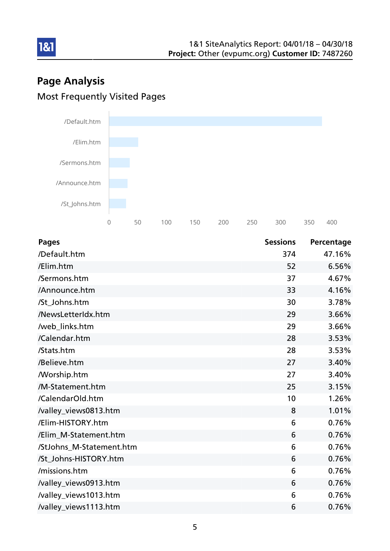# Page Analysis Most Frequently Visited Pages

181



| <b>Pages</b>             | <b>Sessions</b> | Percentage |
|--------------------------|-----------------|------------|
| /Default.htm             | 374             | 47.16%     |
| /Elim.htm                | 52              | 6.56%      |
| /Sermons.htm             | 37              | 4.67%      |
| /Announce.htm            | 33              | 4.16%      |
| /St_Johns.htm            | 30              | 3.78%      |
| /NewsLetterIdx.htm       | 29              | 3.66%      |
| /web_links.htm           | 29              | 3.66%      |
| /Calendar.htm            | 28              | 3.53%      |
| /Stats.htm               | 28              | 3.53%      |
| /Believe.htm             | 27              | 3.40%      |
| <b>Morship.htm</b>       | 27              | 3.40%      |
| /M-Statement.htm         | 25              | 3.15%      |
| /CalendarOld.htm         | 10              | 1.26%      |
| /valley_views0813.htm    | 8               | 1.01%      |
| /Elim-HISTORY.htm        | 6               | 0.76%      |
| /Elim_M-Statement.htm    | 6               | 0.76%      |
| /StJohns_M-Statement.htm | 6               | 0.76%      |
| /St_Johns-HISTORY.htm    | 6               | 0.76%      |
| /missions.htm            | 6               | 0.76%      |
| /valley_views0913.htm    | 6               | 0.76%      |
| /valley_views1013.htm    | 6               | 0.76%      |
| /valley_views1113.htm    | 6               | 0.76%      |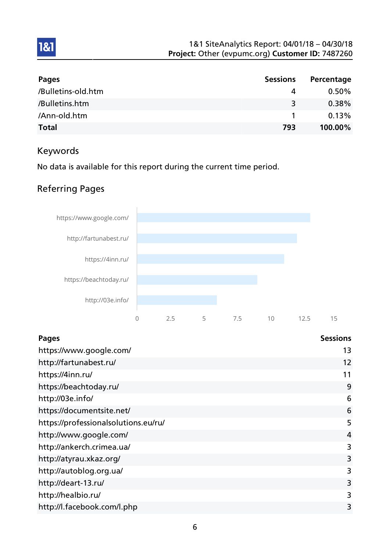| <b>Pages</b>       | <b>Sessions</b> | Percentage |
|--------------------|-----------------|------------|
| /Bulletins-old.htm | 4               | $0.50\%$   |
| /Bulletins.htm     | 3               | 0.38%      |
| /Ann-old.htm       |                 | 0.13%      |
| <b>Total</b>       | 793             | 100.00%    |

## Keywords

1&1

No data is available for this report during the current time period.

## Referring Pages



| <b>Pages</b>                         | <b>Sessions</b> |
|--------------------------------------|-----------------|
| https://www.google.com/              | 13              |
| http://fartunabest.ru/               | 12              |
| https://4inn.ru/                     | 11              |
| https://beachtoday.ru/               | 9               |
| http://03e.info/                     | 6               |
| https://documentsite.net/            | 6               |
| https://professionalsolutions.eu/ru/ | 5               |
| http://www.google.com/               | 4               |
| http://ankerch.crimea.ua/            | 3               |
| http://atyrau.xkaz.org/              | 3               |
| http://autoblog.org.ua/              | 3               |
| http://deart-13.ru/                  | 3               |
| http://healbio.ru/                   | 3               |
| http://l.facebook.com/l.php          | 3               |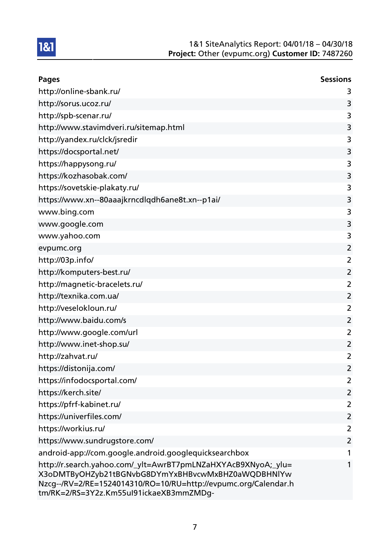| <b>Pages</b>                                                                                                                                                                                                                      | <b>Sessions</b> |
|-----------------------------------------------------------------------------------------------------------------------------------------------------------------------------------------------------------------------------------|-----------------|
| http://online-sbank.ru/                                                                                                                                                                                                           | 3               |
| http://sorus.ucoz.ru/                                                                                                                                                                                                             | 3               |
| http://spb-scenar.ru/                                                                                                                                                                                                             | 3               |
| http://www.stavimdveri.ru/sitemap.html                                                                                                                                                                                            | 3               |
| http://yandex.ru/clck/jsredir                                                                                                                                                                                                     | 3               |
| https://docsportal.net/                                                                                                                                                                                                           | 3               |
| https://happysong.ru/                                                                                                                                                                                                             | 3               |
| https://kozhasobak.com/                                                                                                                                                                                                           | 3               |
| https://sovetskie-plakaty.ru/                                                                                                                                                                                                     | 3               |
| https://www.xn--80aaajkrncdlqdh6ane8t.xn--p1ai/                                                                                                                                                                                   | 3               |
| www.bing.com                                                                                                                                                                                                                      | 3               |
| www.google.com                                                                                                                                                                                                                    | 3               |
| www.yahoo.com                                                                                                                                                                                                                     | 3               |
| evpumc.org                                                                                                                                                                                                                        | $\overline{2}$  |
| http://03p.info/                                                                                                                                                                                                                  | $\overline{2}$  |
| http://komputers-best.ru/                                                                                                                                                                                                         | $\overline{2}$  |
| http://magnetic-bracelets.ru/                                                                                                                                                                                                     | 2               |
| http://texnika.com.ua/                                                                                                                                                                                                            | $\overline{2}$  |
| http://veselokloun.ru/                                                                                                                                                                                                            | $\overline{2}$  |
| http://www.baidu.com/s                                                                                                                                                                                                            | $\overline{2}$  |
| http://www.google.com/url                                                                                                                                                                                                         | $\overline{2}$  |
| http://www.inet-shop.su/                                                                                                                                                                                                          | $\overline{2}$  |
| http://zahvat.ru/                                                                                                                                                                                                                 | $\overline{2}$  |
| https://distonija.com/                                                                                                                                                                                                            | 2               |
| https://infodocsportal.com/                                                                                                                                                                                                       | 2               |
| https://kerch.site/                                                                                                                                                                                                               | $\overline{2}$  |
| https://pfrf-kabinet.ru/                                                                                                                                                                                                          | $\overline{2}$  |
| https://univerfiles.com/                                                                                                                                                                                                          | $\overline{2}$  |
| https://workius.ru/                                                                                                                                                                                                               | 2               |
| https://www.sundrugstore.com/                                                                                                                                                                                                     | $\overline{2}$  |
| android-app://com.google.android.googlequicksearchbox                                                                                                                                                                             | 1               |
| http://r.search.yahoo.com/_ylt=AwrBT7pmLNZaHXYAcB9XNyoA;_ylu=<br>X3oDMTByOHZyb21tBGNvbG8DYmYxBHBvcwMxBHZ0aWQDBHNlYw<br>Nzcg--/RV=2/RE=1524014310/RO=10/RU=http://evpumc.org/Calendar.h<br>tm/RK=2/RS=3Y2z.Km55ul91ickaeXB3mmZMDg- | 1               |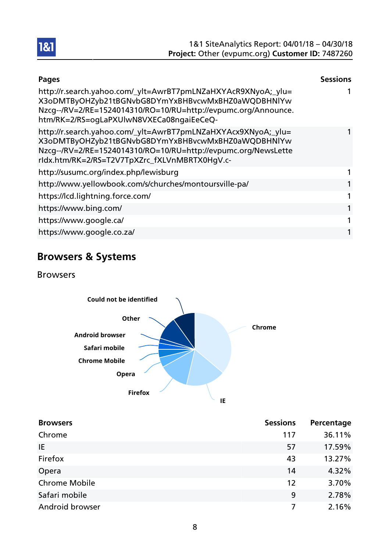| <b>Pages</b>                                                                                                                                                                                                                           | <b>Sessions</b> |
|----------------------------------------------------------------------------------------------------------------------------------------------------------------------------------------------------------------------------------------|-----------------|
| http://r.search.yahoo.com/_ylt=AwrBT7pmLNZaHXYAcR9XNyoA;_ylu=<br>X3oDMTByOHZyb21tBGNvbG8DYmYxBHBvcwMxBHZ0aWQDBHNlYw<br>Nzcg--/RV=2/RE=1524014310/RO=10/RU=http://evpumc.org/Announce.<br>htm/RK=2/RS=ogLaPXUlwN8VXECa08ngaiEeCeQ-      |                 |
| http://r.search.yahoo.com/_ylt=AwrBT7pmLNZaHXYAcx9XNyoA;_ylu=<br>X3oDMTByOHZyb21tBGNvbG8DYmYxBHBvcwMxBHZ0aWQDBHNlYw<br>Nzcg--/RV=2/RE=1524014310/RO=10/RU=http://evpumc.org/NewsLette<br>rldx.htm/RK=2/RS=T2V7TpXZrc_fXLVnMBRTX0HgV.c- |                 |
| http://susumc.org/index.php/lewisburg                                                                                                                                                                                                  |                 |
| http://www.yellowbook.com/s/churches/montoursville-pa/                                                                                                                                                                                 |                 |
| https://lcd.lightning.force.com/                                                                                                                                                                                                       | 1               |
| https://www.bing.com/                                                                                                                                                                                                                  | 1               |
| https://www.google.ca/                                                                                                                                                                                                                 | 1               |
| https://www.google.co.za/                                                                                                                                                                                                              |                 |

# Browsers & Systems

Browsers



| <b>Browsers</b>      | <b>Sessions</b> | Percentage |
|----------------------|-----------------|------------|
| Chrome               | 117             | 36.11%     |
| IE                   | 57              | 17.59%     |
| Firefox              | 43              | 13.27%     |
| Opera                | 14              | 4.32%      |
| <b>Chrome Mobile</b> | 12              | 3.70%      |
| Safari mobile        | 9               | 2.78%      |
| Android browser      |                 | 2.16%      |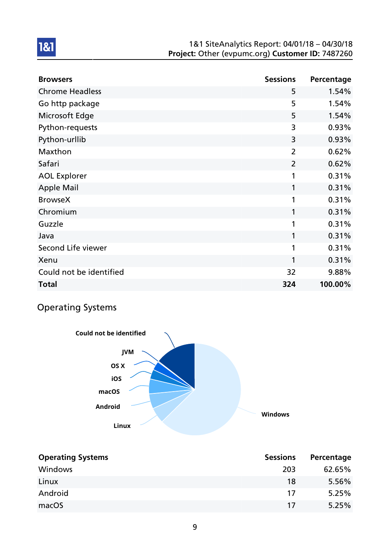| <b>Browsers</b>         | <b>Sessions</b> | Percentage |
|-------------------------|-----------------|------------|
| <b>Chrome Headless</b>  | 5               | 1.54%      |
| Go http package         | 5               | 1.54%      |
| Microsoft Edge          | 5               | 1.54%      |
| Python-requests         | 3               | 0.93%      |
| Python-urllib           | 3               | 0.93%      |
| Maxthon                 | $\overline{2}$  | 0.62%      |
| Safari                  | $\overline{2}$  | 0.62%      |
| <b>AOL Explorer</b>     | 1               | 0.31%      |
| <b>Apple Mail</b>       | 1               | 0.31%      |
| <b>BrowseX</b>          | 1               | 0.31%      |
| Chromium                | 1               | 0.31%      |
| Guzzle                  | 1               | 0.31%      |
| Java                    | 1               | 0.31%      |
| Second Life viewer      | 1               | 0.31%      |
| Xenu                    | 1               | 0.31%      |
| Could not be identified | 32              | 9.88%      |
| <b>Total</b>            | 324             | 100.00%    |

# Operating Systems

1&1

**Windows Linux Android macOS iOS OS X JVM Could not be identified**

| <b>Operating Systems</b> | <b>Sessions</b> | Percentage |
|--------------------------|-----------------|------------|
| Windows                  | 203             | 62.65%     |
| Linux                    | 18              | 5.56%      |
| Android                  | 17              | 5.25%      |
| macOS                    | 17              | 5.25%      |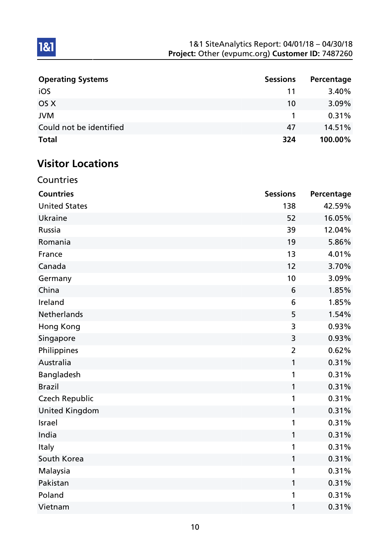| <b>Operating Systems</b> | <b>Sessions</b> | Percentage |
|--------------------------|-----------------|------------|
| iOS                      | 11              | 3.40%      |
| OS X                     | 10              | $3.09\%$   |
| <b>JVM</b>               |                 | 0.31%      |
| Could not be identified  | 47              | 14.51%     |
| <b>Total</b>             | 324             | 100.00%    |

# Visitor Locations

Countries

| <b>Countries</b>      | <b>Sessions</b> | Percentage |
|-----------------------|-----------------|------------|
| <b>United States</b>  | 138             | 42.59%     |
| <b>Ukraine</b>        | 52              | 16.05%     |
| Russia                | 39              | 12.04%     |
| Romania               | 19              | 5.86%      |
| France                | 13              | 4.01%      |
| Canada                | 12              | 3.70%      |
| Germany               | 10              | 3.09%      |
| China                 | 6               | 1.85%      |
| Ireland               | 6               | 1.85%      |
| <b>Netherlands</b>    | 5               | 1.54%      |
| <b>Hong Kong</b>      | 3               | 0.93%      |
| Singapore             | 3               | 0.93%      |
| Philippines           | $\overline{2}$  | 0.62%      |
| Australia             | 1               | 0.31%      |
| Bangladesh            | 1               | 0.31%      |
| <b>Brazil</b>         | 1               | 0.31%      |
| <b>Czech Republic</b> | 1               | 0.31%      |
| <b>United Kingdom</b> | 1               | 0.31%      |
| <b>Israel</b>         | 1               | 0.31%      |
| India                 | 1               | 0.31%      |
| Italy                 | 1               | 0.31%      |
| South Korea           | 1               | 0.31%      |
| Malaysia              | 1               | 0.31%      |
| Pakistan              | 1               | 0.31%      |
| Poland                | 1               | 0.31%      |
| Vietnam               | 1               | 0.31%      |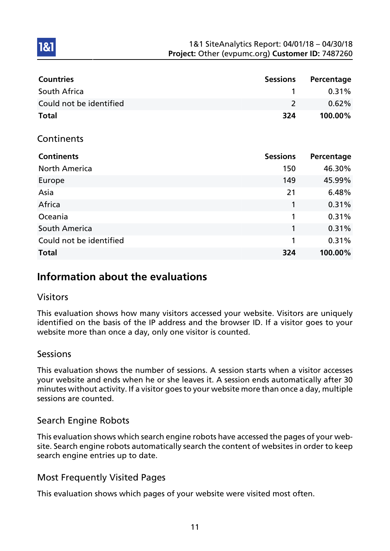| <b>Countries</b>        | <b>Sessions</b> | Percentage |
|-------------------------|-----------------|------------|
| South Africa            | 1               | 0.31%      |
| Could not be identified | $\overline{2}$  | 0.62%      |
| <b>Total</b>            | 324             | 100.00%    |
| Continents              |                 |            |
| <b>Continents</b>       | <b>Sessions</b> | Percentage |
| <b>North America</b>    | 150             | 46.30%     |
| Europe                  | 149             | 45.99%     |
| Asia                    | 21              | 6.48%      |
| Africa                  | 1               | 0.31%      |
| Oceania                 | 1               | 0.31%      |
| South America           | 1               | 0.31%      |
| Could not be identified | 1               | 0.31%      |
| <b>Total</b>            | 324             | 100.00%    |

# Information about the evaluations

### Visitors

1&1

This evaluation shows how many visitors accessed your website. Visitors are uniquely identified on the basis of the IP address and the browser ID. If a visitor goes to your website more than once a day, only one visitor is counted.

### **Sessions**

This evaluation shows the number of sessions. A session starts when a visitor accesses your website and ends when he or she leaves it. A session ends automatically after 30 minutes without activity. If a visitor goes to your website more than once a day, multiple sessions are counted.

### Search Engine Robots

This evaluation shows which search engine robots have accessed the pages of your website. Search engine robots automatically search the content of websites in order to keep search engine entries up to date.

### Most Frequently Visited Pages

This evaluation shows which pages of your website were visited most often.